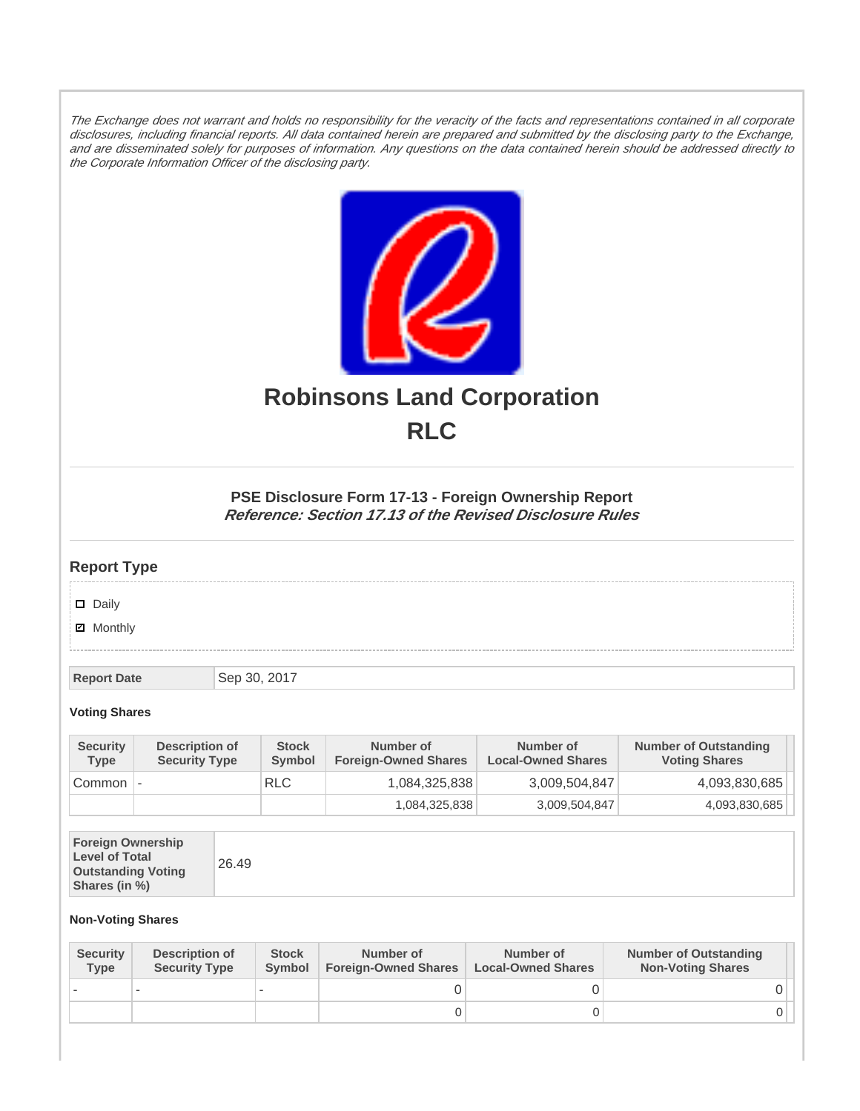The Exchange does not warrant and holds no responsibility for the veracity of the facts and representations contained in all corporate disclosures, including financial reports. All data contained herein are prepared and submitted by the disclosing party to the Exchange, and are disseminated solely for purposes of information. Any questions on the data contained herein should be addressed directly to the Corporate Information Officer of the disclosing party.



# **Robinsons Land Corporation RLC**

## **PSE Disclosure Form 17-13 - Foreign Ownership Report Reference: Section 17.13 of the Revised Disclosure Rules**

## **Report Type**

Daily

**Ø** Monthly

**Report Date** Sep 30, 2017

#### **Voting Shares**

| <b>Security</b><br><b>Type</b> | Description of<br><b>Security Type</b> | <b>Stock</b><br>Symbol | Number of<br><b>Foreign-Owned Shares</b> | Number of<br><b>Local-Owned Shares</b> | <b>Number of Outstanding</b><br><b>Voting Shares</b> |
|--------------------------------|----------------------------------------|------------------------|------------------------------------------|----------------------------------------|------------------------------------------------------|
| Common                         |                                        | <b>RLC</b>             | 1,084,325,838                            | 3,009,504,847                          | 4,093,830,685                                        |
|                                |                                        |                        | 1,084,325,838                            | 3,009,504,847                          | 4,093,830,685                                        |

| <b>Foreign Ownership</b><br><b>Level of Total</b><br><b>Outstanding Voting</b><br>Shares (in %) |
|-------------------------------------------------------------------------------------------------|
|-------------------------------------------------------------------------------------------------|

### **Non-Voting Shares**

| <b>Security</b><br><b>Type</b> | Description of<br><b>Security Type</b> | <b>Stock</b><br><b>Symbol</b> | Number of<br><b>Foreign-Owned Shares</b> | Number of<br><b>Local-Owned Shares</b> | <b>Number of Outstanding</b><br><b>Non-Voting Shares</b> |
|--------------------------------|----------------------------------------|-------------------------------|------------------------------------------|----------------------------------------|----------------------------------------------------------|
|                                |                                        |                               |                                          |                                        |                                                          |
|                                |                                        |                               | O                                        |                                        |                                                          |